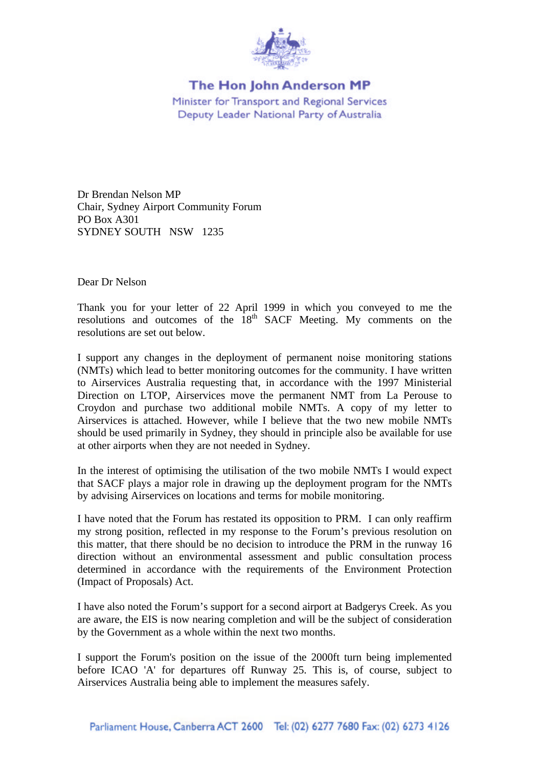

## The Hon John Anderson MP

Minister for Transport and Regional Services Deputy Leader National Party of Australia

Dr Brendan Nelson MP Chair, Sydney Airport Community Forum PO Box A301 SYDNEY SOUTH NSW 1235

Dear Dr Nelson

Thank you for your letter of 22 April 1999 in which you conveyed to me the resolutions and outcomes of the  $18<sup>th</sup>$  SACF Meeting. My comments on the resolutions are set out below.

I support any changes in the deployment of permanent noise monitoring stations (NMTs) which lead to better monitoring outcomes for the community. I have written to Airservices Australia requesting that, in accordance with the 1997 Ministerial Direction on LTOP, Airservices move the permanent NMT from La Perouse to Croydon and purchase two additional mobile NMTs. A copy of my letter to Airservices is attached. However, while I believe that the two new mobile NMTs should be used primarily in Sydney, they should in principle also be available for use at other airports when they are not needed in Sydney.

In the interest of optimising the utilisation of the two mobile NMTs I would expect that SACF plays a major role in drawing up the deployment program for the NMTs by advising Airservices on locations and terms for mobile monitoring.

I have noted that the Forum has restated its opposition to PRM. I can only reaffirm my strong position, reflected in my response to the Forum's previous resolution on this matter, that there should be no decision to introduce the PRM in the runway 16 direction without an environmental assessment and public consultation process determined in accordance with the requirements of the Environment Protection (Impact of Proposals) Act.

I have also noted the Forum's support for a second airport at Badgerys Creek. As you are aware, the EIS is now nearing completion and will be the subject of consideration by the Government as a whole within the next two months.

I support the Forum's position on the issue of the 2000ft turn being implemented before ICAO 'A' for departures off Runway 25. This is, of course, subject to Airservices Australia being able to implement the measures safely.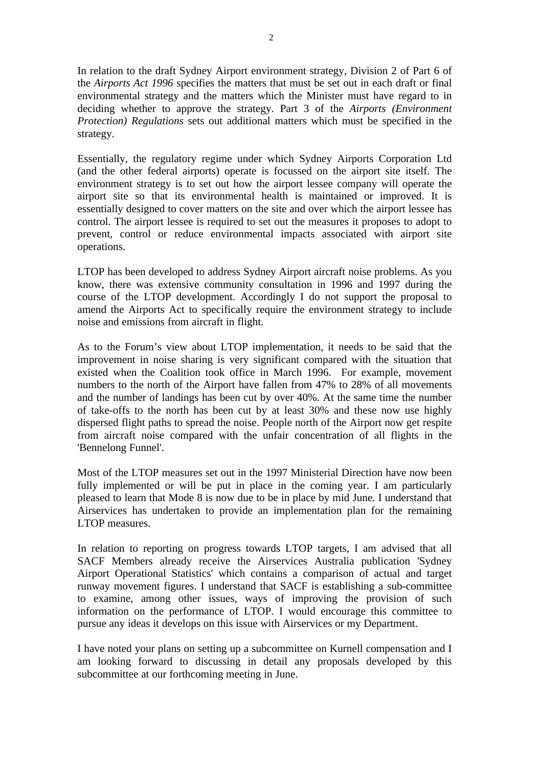In relation to the draft Sydney Airport environment strategy, Division 2 of Part 6 of the *Airports Act 1996* specifies the matters that must be set out in each draft or final environmental strategy and the matters which the Minister must have regard to in deciding whether to approve the strategy. Part 3 of the *Airports (Environment Protection) Regulations* sets out additional matters which must be specified in the strategy.

Essentially, the regulatory regime under which Sydney Airports Corporation Ltd (and the other federal airports) operate is focussed on the airport site itself. The environment strategy is to set out how the airport lessee company will operate the airport site so that its environmental health is maintained or improved. It is essentially designed to cover matters on the site and over which the airport lessee has control. The airport lessee is required to set out the measures it proposes to adopt to prevent, control or reduce environmental impacts associated with airport site operations.

LTOP has been developed to address Sydney Airport aircraft noise problems. As you know, there was extensive community consultation in 1996 and 1997 during the course of the LTOP development. Accordingly I do not support the proposal to amend the Airports Act to specifically require the environment strategy to include noise and emissions from aircraft in flight.

As to the Forum's view about LTOP implementation, it needs to be said that the improvement in noise sharing is very significant compared with the situation that existed when the Coalition took office in March 1996. For example, movement numbers to the north of the Airport have fallen from 47% to 28% of all movements and the number of landings has been cut by over 40%. At the same time the number of take-offs to the north has been cut by at least 30% and these now use highly dispersed flight paths to spread the noise. People north of the Airport now get respite from aircraft noise compared with the unfair concentration of all flights in the 'Bennelong Funnel'.

Most of the LTOP measures set out in the 1997 Ministerial Direction have now been fully implemented or will be put in place in the coming year. I am particularly pleased to learn that Mode 8 is now due to be in place by mid June. I understand that Airservices has undertaken to provide an implementation plan for the remaining LTOP measures.

In relation to reporting on progress towards LTOP targets, I am advised that all SACF Members already receive the Airservices Australia publication 'Sydney Airport Operational Statistics' which contains a comparison of actual and target runway movement figures. I understand that SACF is establishing a sub-committee to examine, among other issues, ways of improving the provision of such information on the performance of LTOP. I would encourage this committee to pursue any ideas it develops on this issue with Airservices or my Department.

I have noted your plans on setting up a subcommittee on Kurnell compensation and I am looking forward to discussing in detail any proposals developed by this subcommittee at our forthcoming meeting in June.